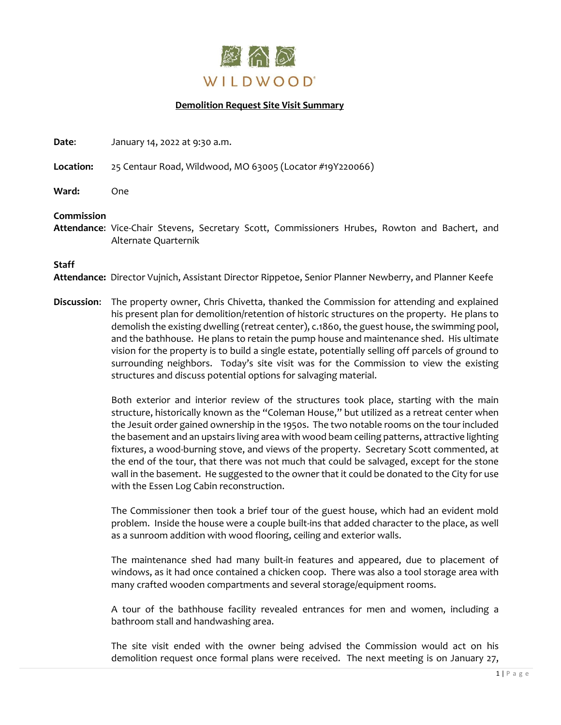

## **Demolition Request Site Visit Summary**

**Date:** January 14, 2022 at 9:30 a.m.

**Location:** 25 Centaur Road, Wildwood, MO 63005 (Locator #19Y220066)

**Ward:** One

## **Commission**

**Attendance**: Vice-Chair Stevens, Secretary Scott, Commissioners Hrubes, Rowton and Bachert, and Alternate Quarternik

## **Staff**

**Attendance:** Director Vujnich, Assistant Director Rippetoe, Senior Planner Newberry, and Planner Keefe

**Discussion**: The property owner, Chris Chivetta, thanked the Commission for attending and explained his present plan for demolition/retention of historic structures on the property. He plans to demolish the existing dwelling (retreat center), c.1860, the guest house, the swimming pool, and the bathhouse. He plans to retain the pump house and maintenance shed. His ultimate vision for the property is to build a single estate, potentially selling off parcels of ground to surrounding neighbors. Today's site visit was for the Commission to view the existing structures and discuss potential options for salvaging material.

> Both exterior and interior review of the structures took place, starting with the main structure, historically known as the "Coleman House," but utilized as a retreat center when the Jesuit order gained ownership in the 1950s. The two notable rooms on the tour included the basement and an upstairs living area with wood beam ceiling patterns, attractive lighting fixtures, a wood-burning stove, and views of the property. Secretary Scott commented, at the end of the tour, that there was not much that could be salvaged, except for the stone wall in the basement. He suggested to the owner that it could be donated to the City for use with the Essen Log Cabin reconstruction.

> The Commissioner then took a brief tour of the guest house, which had an evident mold problem. Inside the house were a couple built-ins that added character to the place, as well as a sunroom addition with wood flooring, ceiling and exterior walls.

> The maintenance shed had many built-in features and appeared, due to placement of windows, as it had once contained a chicken coop. There was also a tool storage area with many crafted wooden compartments and several storage/equipment rooms.

> A tour of the bathhouse facility revealed entrances for men and women, including a bathroom stall and handwashing area.

> The site visit ended with the owner being advised the Commission would act on his demolition request once formal plans were received. The next meeting is on January 27,